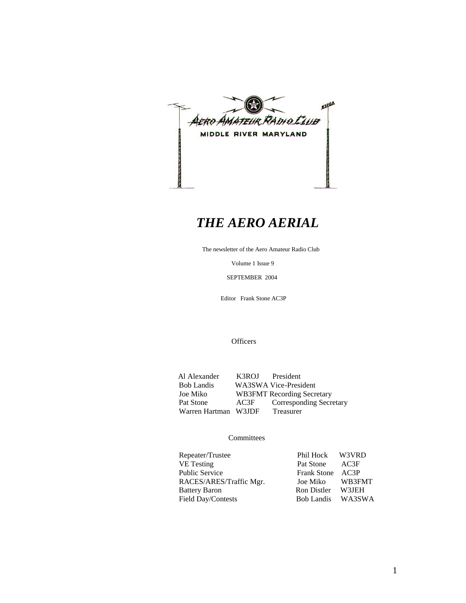

# *THE AERO AERIAL*

The newsletter of the Aero Amateur Radio Club

Volume 1 Issue 9

SEPTEMBER 2004

Editor Frank Stone AC3P

**Officers** 

Al Alexander K3ROJ President<br>Bob Landis WA3SWA Vice-Presi Bob Landis WA3SWA Vice-President<br>Joe Miko WB3FMT Recording Secre WB3FMT Recording Secretary Pat Stone AC3F Corresponding Secretary<br>Warren Hartman W3JDF Treasurer Warren Hartman W3JDF

#### **Committees**

| Repeater/Trustee        | Phil Hock W3VRD   |        |
|-------------------------|-------------------|--------|
| <b>VE</b> Testing       | Pat Stone AC3F    |        |
| <b>Public Service</b>   | Frank Stone AC3P  |        |
| RACES/ARES/Traffic Mgr. | Joe Miko          | WB3FMT |
| <b>Battery Baron</b>    | Ron Distler W3JEH |        |
| Field Day/Contests      | Bob Landis WA3SWA |        |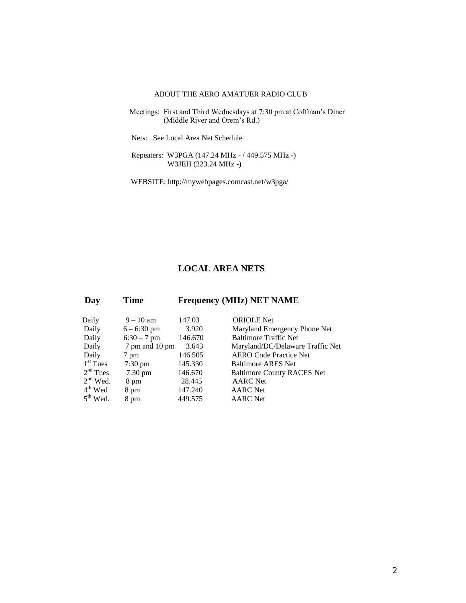#### ABOUT THE AERO AMATUER RADIO CLUB

- Meetings: First and Third Wednesdays at 7:30 pm at Coffman's Diner (Middle River and Orem's Rd.)
	- Nets: See Local Area Net Schedule
	- Repeaters: W3PGA (147.24 MHz / 449.575 MHz -) W3JEH (223.24 MHz -)
	- WEBSITE: http://mywebpages.comcast.net/w3pga/

#### **LOCAL AREA NETS**

| Day        | <b>Time</b>       |         | <b>Frequency (MHz) NET NAME</b>   |
|------------|-------------------|---------|-----------------------------------|
| Daily      | $9 - 10$ am       | 147.03  | <b>ORIOLE</b> Net                 |
| Daily      | $6 - 6:30$ pm     | 3.920   | Maryland Emergency Phone Net      |
| Daily      | $6:30 - 7$ pm     | 146.670 | <b>Baltimore Traffic Net</b>      |
| Daily      | 7 pm and 10 pm    | 3.643   | Maryland/DC/Delaware Traffic Net  |
| Daily      | 7 pm              | 146.505 | <b>AERO Code Practice Net</b>     |
| $1st$ Tues | $7:30 \text{ pm}$ | 145.330 | <b>Baltimore ARES Net</b>         |
| $2nd$ Tues | $7:30 \text{ pm}$ | 146.670 | <b>Baltimore County RACES Net</b> |
| $2nd$ Wed. | 8 pm              | 28.445  | <b>AARC</b> Net                   |
| $4th$ Wed  | 8 pm              | 147.240 | <b>AARC</b> Net                   |
| $5th$ Wed. | 8 pm              | 449.575 | <b>AARC</b> Net                   |
|            |                   |         |                                   |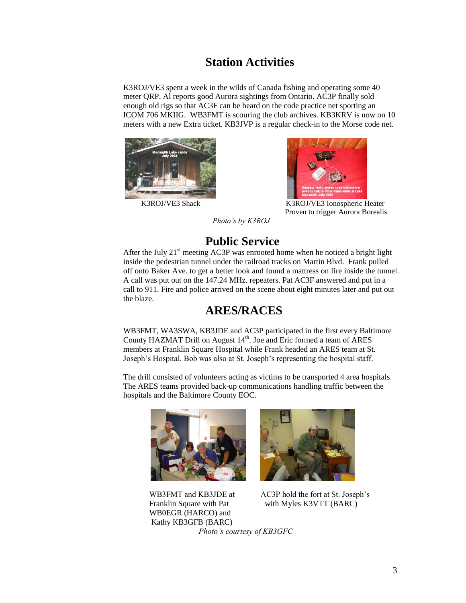## **Station Activities**

K3ROJ/VE3 spent a week in the wilds of Canada fishing and operating some 40 meter QRP. Al reports good Aurora sightings from Ontario. AC3P finally sold enough old rigs so that AC3F can be heard on the code practice net sporting an ICOM 706 MKIIG. WB3FMT is scouring the club archives. KB3KRV is now on 10 meters with a new Extra ticket. KB3JVP is a regular check-in to the Morse code net.





K3ROJ/VE3 Shack K3ROJ/VE3 Ionospheric Heater Proven to trigger Aurora Borealis

*Photo's by K3ROJ*

# **Public Service**

After the July  $21<sup>st</sup>$  meeting AC3P was enrooted home when he noticed a bright light inside the pedestrian tunnel under the railroad tracks on Martin Blvd. Frank pulled off onto Baker Ave. to get a better look and found a mattress on fire inside the tunnel. A call was put out on the 147.24 MHz. repeaters. Pat AC3F answered and put in a call to 911. Fire and police arrived on the scene about eight minutes later and put out the blaze.

# **ARES/RACES**

WB3FMT, WA3SWA, KB3JDE and AC3P participated in the first every Baltimore County HAZMAT Drill on August  $14<sup>th</sup>$ . Joe and Eric formed a team of ARES members at Franklin Square Hospital while Frank headed an ARES team at St. Joseph's Hospital. Bob was also at St. Joseph's representing the hospital staff.

The drill consisted of volunteers acting as victims to be transported 4 area hospitals. The ARES teams provided back-up communications handling traffic between the hospitals and the Baltimore County EOC.





 WB0EGR (HARCO) and Kathy KB3GFB (BARC)

WB3FMT and KB3JDE at AC3P hold the fort at St. Joseph's Franklin Square with Pat with Myles K3VTT (BARC)

*Photo's courtesy of KB3GFC*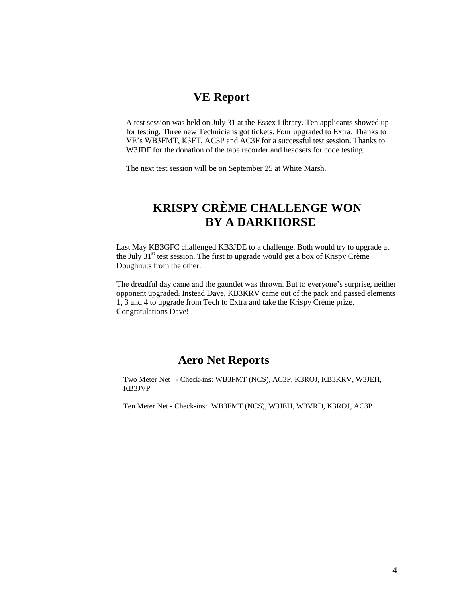### **VE Report**

A test session was held on July 31 at the Essex Library. Ten applicants showed up for testing. Three new Technicians got tickets. Four upgraded to Extra. Thanks to VE's WB3FMT, K3FT, AC3P and AC3F for a successful test session. Thanks to W3JDF for the donation of the tape recorder and headsets for code testing.

The next test session will be on September 25 at White Marsh.

# **KRISPY CRÈME CHALLENGE WON BY A DARKHORSE**

Last May KB3GFC challenged KB3JDE to a challenge. Both would try to upgrade at the July  $31<sup>st</sup>$  test session. The first to upgrade would get a box of Krispy Crème Doughnuts from the other.

The dreadful day came and the gauntlet was thrown. But to everyone's surprise, neither opponent upgraded. Instead Dave, KB3KRV came out of the pack and passed elements 1, 3 and 4 to upgrade from Tech to Extra and take the Krispy Crème prize. Congratulations Dave!

### **Aero Net Reports**

Two Meter Net - Check-ins: WB3FMT (NCS), AC3P, K3ROJ, KB3KRV, W3JEH, KB3JVP

Ten Meter Net - Check-ins: WB3FMT (NCS), W3JEH, W3VRD, K3ROJ, AC3P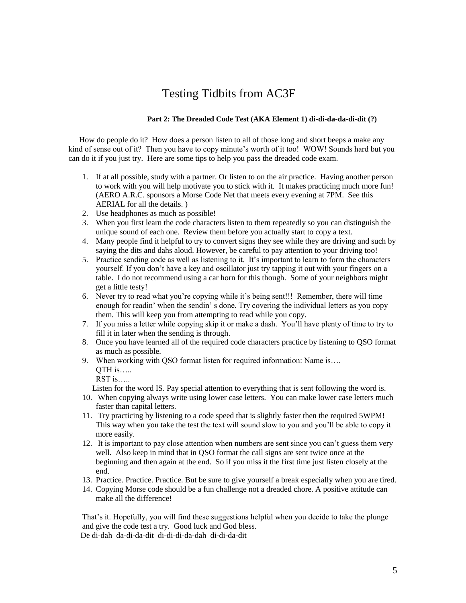### Testing Tidbits from AC3F

#### **Part 2: The Dreaded Code Test (AKA Element 1) di-di-da-da-di-dit (?)**

How do people do it? How does a person listen to all of those long and short beeps a make any kind of sense out of it? Then you have to copy minute's worth of it too! WOW! Sounds hard but you can do it if you just try. Here are some tips to help you pass the dreaded code exam.

- 1. If at all possible, study with a partner. Or listen to on the air practice. Having another person to work with you will help motivate you to stick with it. It makes practicing much more fun! (AERO A.R.C. sponsors a Morse Code Net that meets every evening at 7PM. See this AERIAL for all the details. )
- 2. Use headphones as much as possible!
- 3. When you first learn the code characters listen to them repeatedly so you can distinguish the unique sound of each one. Review them before you actually start to copy a text.
- 4. Many people find it helpful to try to convert signs they see while they are driving and such by saying the dits and dahs aloud. However, be careful to pay attention to your driving too!
- 5. Practice sending code as well as listening to it. It's important to learn to form the characters yourself. If you don't have a key and oscillator just try tapping it out with your fingers on a table. I do not recommend using a car horn for this though. Some of your neighbors might get a little testy!
- 6. Never try to read what you're copying while it's being sent!!! Remember, there will time enough for readin' when the sendin' s done. Try covering the individual letters as you copy them. This will keep you from attempting to read while you copy.
- 7. If you miss a letter while copying skip it or make a dash. You'll have plenty of time to try to fill it in later when the sending is through.
- 8. Once you have learned all of the required code characters practice by listening to QSO format as much as possible.
- 9. When working with QSO format listen for required information: Name is....  $OTH$  is…..
	- RST is…..

Listen for the word IS. Pay special attention to everything that is sent following the word is.

- 10. When copying always write using lower case letters. You can make lower case letters much faster than capital letters.
- 11. Try practicing by listening to a code speed that is slightly faster then the required 5WPM! This way when you take the test the text will sound slow to you and you'll be able to copy it more easily.
- 12. It is important to pay close attention when numbers are sent since you can't guess them very well. Also keep in mind that in QSO format the call signs are sent twice once at the beginning and then again at the end. So if you miss it the first time just listen closely at the end.
- 13. Practice. Practice. Practice. But be sure to give yourself a break especially when you are tired.
- 14. Copying Morse code should be a fun challenge not a dreaded chore. A positive attitude can make all the difference!

That's it. Hopefully, you will find these suggestions helpful when you decide to take the plunge and give the code test a try. Good luck and God bless. De di-dah da-di-da-dit di-di-di-da-dah di-di-da-dit